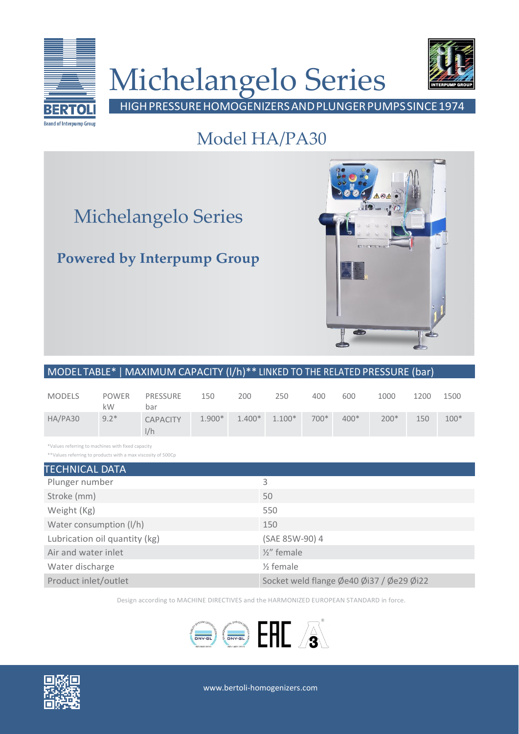

# Michelangelo Series



HIGHPRESSUREHOMOGENIZERSANDPLUNGERPUMPSSINCE1974

### Model HA/PA30

## Michelangelo Series

### **Powered by Interpump Group**



#### MODEL TABLE\* | MAXIMUM CAPACITY (l/h)\*\* LINKED TO THE RELATED PRESSURE (bar)

| <b>MODELS</b> | <b>POWER</b><br>kW | PRESSURE<br>bar        | 150      | 200      | 250      | 400    | 600    | 1000   | 1200 | 1500   |
|---------------|--------------------|------------------------|----------|----------|----------|--------|--------|--------|------|--------|
| HA/PA30       | $9.2*$             | <b>CAPACITY</b><br>1/h | $1.900*$ | $1.400*$ | $1.100*$ | $700*$ | $400*$ | $200*$ | 150  | $100*$ |

\*Values referring to machines with fixed capacity

\*\*Values referring to products with a max viscosity of 500Cp

| <b>TECHNICAL DATA</b>         |                                          |  |  |  |  |
|-------------------------------|------------------------------------------|--|--|--|--|
| Plunger number                | 3                                        |  |  |  |  |
| Stroke (mm)                   | 50                                       |  |  |  |  |
| Weight (Kg)                   | 550                                      |  |  |  |  |
| Water consumption (I/h)       | 150                                      |  |  |  |  |
| Lubrication oil quantity (kg) | (SAE 85W-90) 4                           |  |  |  |  |
| Air and water inlet           | $\frac{1}{2}$ female                     |  |  |  |  |
| Water discharge               | $\frac{1}{2}$ female                     |  |  |  |  |
| Product inlet/outlet          | Socket weld flange Øe40 Øi37 / Øe29 Øi22 |  |  |  |  |

Design according to MACHINE DIRECTIVES and the HARMONIZED EUROPEAN STANDARD in force.